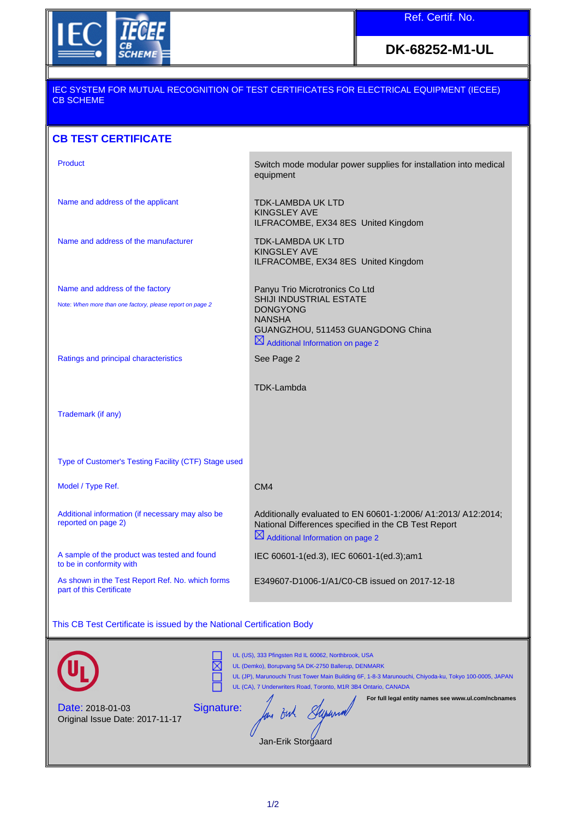

**DK-68252-M1-UL**

### IEC SYSTEM FOR MUTUAL RECOGNITION OF TEST CERTIFICATES FOR ELECTRICAL EQUIPMENT (IECEE) CB SCHEME

## **CB TEST CERTIFICATE**

| Product                                                                      | Switch mode modular power supplies for installation into medical<br>equipment                                                                                         |
|------------------------------------------------------------------------------|-----------------------------------------------------------------------------------------------------------------------------------------------------------------------|
| Name and address of the applicant                                            | TDK-LAMBDA UK LTD<br><b>KINGSLEY AVE</b><br>ILFRACOMBE, EX34 8ES United Kingdom                                                                                       |
| Name and address of the manufacturer                                         | TDK-LAMBDA UK LTD<br><b>KINGSLEY AVE</b><br>ILFRACOMBE, EX34 8ES United Kingdom                                                                                       |
| Name and address of the factory                                              | Panyu Trio Microtronics Co Ltd                                                                                                                                        |
| Note: When more than one factory, please report on page 2                    | SHIJI INDUSTRIAL ESTATE<br><b>DONGYONG</b>                                                                                                                            |
|                                                                              | <b>NANSHA</b>                                                                                                                                                         |
|                                                                              | GUANGZHOU, 511453 GUANGDONG China<br>$\boxtimes$ Additional Information on page 2                                                                                     |
| Ratings and principal characteristics                                        | See Page 2                                                                                                                                                            |
|                                                                              |                                                                                                                                                                       |
|                                                                              | TDK-Lambda                                                                                                                                                            |
| Trademark (if any)                                                           |                                                                                                                                                                       |
|                                                                              |                                                                                                                                                                       |
| Type of Customer's Testing Facility (CTF) Stage used                         |                                                                                                                                                                       |
| Model / Type Ref.                                                            | CM4                                                                                                                                                                   |
| Additional information (if necessary may also be<br>reported on page 2)      | Additionally evaluated to EN 60601-1:2006/ A1:2013/ A12:2014;<br>National Differences specified in the CB Test Report<br>$\boxtimes$ Additional Information on page 2 |
| A sample of the product was tested and found<br>to be in conformity with     | IEC 60601-1(ed.3), IEC 60601-1(ed.3);am1                                                                                                                              |
| As shown in the Test Report Ref. No. which forms<br>part of this Certificate | E349607-D1006-1/A1/C0-CB issued on 2017-12-18                                                                                                                         |

This CB Test Certificate is issued by the National Certification Body

|                                                            | UL (US), 333 Pfingsten Rd IL 60062, Northbrook, USA<br>UL (Demko), Borupvang 5A DK-2750 Ballerup, DENMARK<br>UL (JP), Marunouchi Trust Tower Main Building 6F, 1-8-3 Marunouchi, Chiyoda-ku, Tokyo 100-0005, JAPAN<br>UL (CA), 7 Underwriters Road, Toronto, M1R 3B4 Ontario, CANADA |
|------------------------------------------------------------|--------------------------------------------------------------------------------------------------------------------------------------------------------------------------------------------------------------------------------------------------------------------------------------|
| <b>Date: 2018-01-03</b><br>Original Issue Date: 2017-11-17 | For full legal entity names see www.ul.com/ncbnames<br>Signature:<br>Jan-Erik Storgaard                                                                                                                                                                                              |